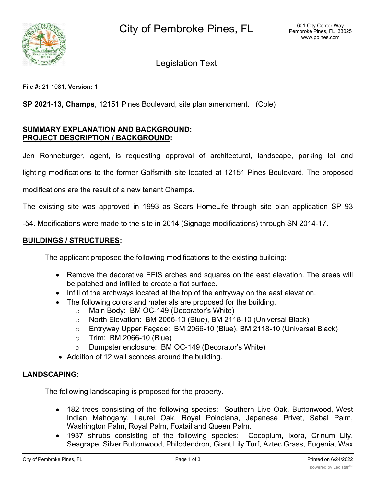

Legislation Text

**File #:** 21-1081, **Version:** 1

**SP 2021-13, Champs**, 12151 Pines Boulevard, site plan amendment. (Cole)

## **SUMMARY EXPLANATION AND BACKGROUND: PROJECT DESCRIPTION / BACKGROUND:**

Jen Ronneburger, agent, is requesting approval of architectural, landscape, parking lot and

lighting modifications to the former Golfsmith site located at 12151 Pines Boulevard. The proposed

modifications are the result of a new tenant Champs.

The existing site was approved in 1993 as Sears HomeLife through site plan application SP 93

-54. Modifications were made to the site in 2014 (Signage modifications) through SN 2014-17.

### **BUILDINGS / STRUCTURES:**

The applicant proposed the following modifications to the existing building:

- · Remove the decorative EFIS arches and squares on the east elevation. The areas will be patched and infilled to create a flat surface.
- · Infill of the archways located at the top of the entryway on the east elevation.
- The following colors and materials are proposed for the building.
	- o Main Body: BM OC-149 (Decorator's White)
	- o North Elevation: BM 2066-10 (Blue), BM 2118-10 (Universal Black)
	- o Entryway Upper Façade: BM 2066-10 (Blue), BM 2118-10 (Universal Black)
	- o Trim: BM 2066-10 (Blue)
	- o Dumpster enclosure: BM OC-149 (Decorator's White)
- Addition of 12 wall sconces around the building.

### **LANDSCAPING:**

The following landscaping is proposed for the property.

- · 182 trees consisting of the following species: Southern Live Oak, Buttonwood, West Indian Mahogany, Laurel Oak, Royal Poinciana, Japanese Privet, Sabal Palm, Washington Palm, Royal Palm, Foxtail and Queen Palm.
- 1937 shrubs consisting of the following species: Cocoplum, Ixora, Crinum Lily, Seagrape, Silver Buttonwood, Philodendron, Giant Lily Turf, Aztec Grass, Eugenia, Wax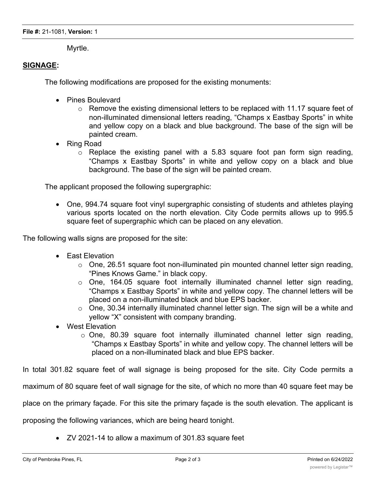Myrtle.

# **SIGNAGE:**

The following modifications are proposed for the existing monuments:

- · Pines Boulevard
	- o Remove the existing dimensional letters to be replaced with 11.17 square feet of non-illuminated dimensional letters reading, "Champs x Eastbay Sports" in white and yellow copy on a black and blue background. The base of the sign will be painted cream.
- · Ring Road
	- $\circ$  Replace the existing panel with a 5.83 square foot pan form sign reading, "Champs x Eastbay Sports" in white and yellow copy on a black and blue background. The base of the sign will be painted cream.

The applicant proposed the following supergraphic:

· One, 994.74 square foot vinyl supergraphic consisting of students and athletes playing various sports located on the north elevation. City Code permits allows up to 995.5 square feet of supergraphic which can be placed on any elevation.

The following walls signs are proposed for the site:

- · East Elevation
	- $\circ$  One, 26.51 square foot non-illuminated pin mounted channel letter sign reading, "Pines Knows Game." in black copy.
	- o One, 164.05 square foot internally illuminated channel letter sign reading, "Champs x Eastbay Sports" in white and yellow copy. The channel letters will be placed on a non-illuminated black and blue EPS backer.
	- o One, 30.34 internally illuminated channel letter sign. The sign will be a white and yellow "X" consistent with company branding.
- · West Elevation
	- o One, 80.39 square foot internally illuminated channel letter sign reading, "Champs x Eastbay Sports" in white and yellow copy. The channel letters will be placed on a non-illuminated black and blue EPS backer.

In total 301.82 square feet of wall signage is being proposed for the site. City Code permits a

maximum of 80 square feet of wall signage for the site, of which no more than 40 square feet may be

place on the primary façade. For this site the primary façade is the south elevation. The applicant is

proposing the following variances, which are being heard tonight.

· ZV 2021-14 to allow a maximum of 301.83 square feet